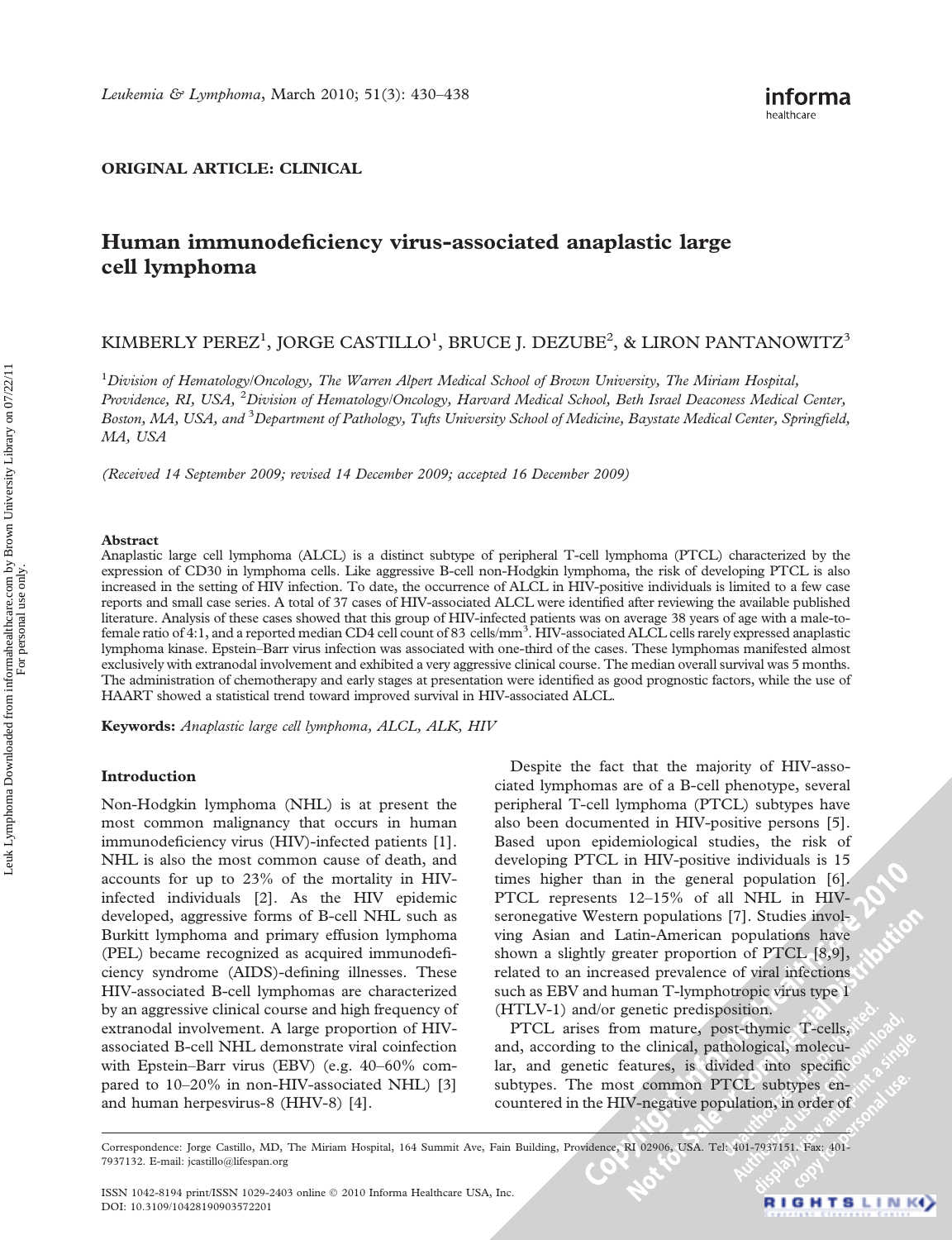## ORIGINAL ARTICLE: CLINICAL

# Human immunodeficiency virus-associated anaplastic large cell lymphoma

# KIMBERLY PEREZ<sup>1</sup>, JORGE CASTILLO<sup>1</sup>, BRUCE J. DEZUBE<sup>2</sup>, & LIRON PANTANOWITZ<sup>3</sup>

<sup>1</sup>Division of Hematology/Oncology, The Warren Alpert Medical School of Brown University, The Miriam Hospital, Providence, RI, USA, <sup>2</sup>Division of Hematology/Oncology, Harvard Medical School, Beth Israel Deaconess Medical Center, Boston, MA, USA, and <sup>3</sup>Department of Pathology, Tufts University School of Medicine, Baystate Medical Center, Springfield, MA, USA

(Received 14 September 2009; revised 14 December 2009; accepted 16 December 2009)

#### Abstract

Anaplastic large cell lymphoma (ALCL) is a distinct subtype of peripheral T-cell lymphoma (PTCL) characterized by the expression of CD30 in lymphoma cells. Like aggressive B-cell non-Hodgkin lymphoma, the risk of developing PTCL is also increased in the setting of HIV infection. To date, the occurrence of ALCL in HIV-positive individuals is limited to a few case reports and small case series. A total of 37 cases of HIV-associated ALCL were identified after reviewing the available published literature. Analysis of these cases showed that this group of HIV-infected patients was on average 38 years of age with a male-tofemale ratio of 4:1, and a reported median CD4 cell count of 83 cells/mm<sup>3</sup>. HIV-associated ALCL cells rarely expressed anaplastic lymphoma kinase. Epstein–Barr virus infection was associated with one-third of the cases. These lymphomas manifested almost exclusively with extranodal involvement and exhibited a very aggressive clinical course. The median overall survival was 5 months. The administration of chemotherapy and early stages at presentation were identified as good prognostic factors, while the use of HAART showed a statistical trend toward improved survival in HIV-associated ALCL.

Keywords: Anaplastic large cell lymphoma, ALCL, ALK, HIV

#### Introduction

Non-Hodgkin lymphoma (NHL) is at present the most common malignancy that occurs in human immunodeficiency virus (HIV)-infected patients [1]. NHL is also the most common cause of death, and accounts for up to 23% of the mortality in HIVinfected individuals [2]. As the HIV epidemic developed, aggressive forms of B-cell NHL such as Burkitt lymphoma and primary effusion lymphoma (PEL) became recognized as acquired immunodeficiency syndrome (AIDS)-defining illnesses. These HIV-associated B-cell lymphomas are characterized by an aggressive clinical course and high frequency of extranodal involvement. A large proportion of HIVassociated B-cell NHL demonstrate viral coinfection with Epstein–Barr virus (EBV) (e.g. 40–60% compared to 10–20% in non-HIV-associated NHL) [3] and human herpesvirus-8 (HHV-8) [4].

Despite the fact that the majority of HIV-associated lymphomas are of a B-cell phenotype, several peripheral T-cell lymphoma (PTCL) subtypes have also been documented in HIV-positive persons [5]. Based upon epidemiological studies, the risk of developing PTCL in HIV-positive individuals is 15 times higher than in the general population [6]. PTCL represents 12–15% of all NHL in HIVseronegative Western populations [7]. Studies involving Asian and Latin-American populations have shown a slightly greater proportion of PTCL [8,9], related to an increased prevalence of viral infections such as EBV and human T-lymphotropic virus type 1 (HTLV-1) and/or genetic predisposition.

PTCL arises from mature, post-thymic T-cells, and, according to the clinical, pathological, molecular, and genetic features, is divided into specific subtypes. The most common PTCL subtypes encountered in the HIV-negative population, in order of

Correspondence: Jorge Castillo, MD, The Miriam Hospital, 164 Summit Ave, Fain Building, Providence, RI 02906, USA. Tel: 401-7937151. Fax: 401- 7937132. E-mail: jcastillo@lifespan.org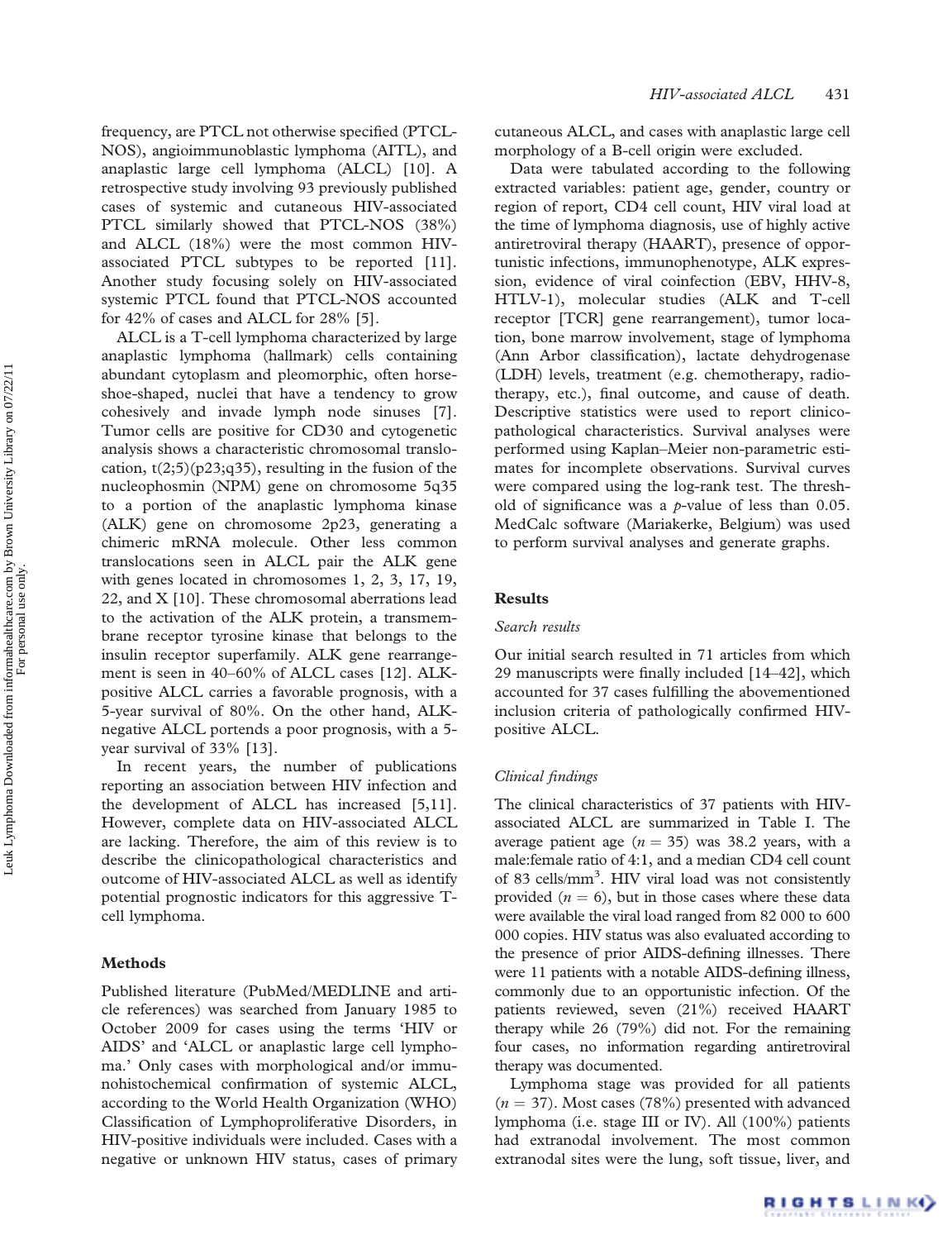frequency, are PTCL not otherwise specified (PTCL-NOS), angioimmunoblastic lymphoma (AITL), and anaplastic large cell lymphoma (ALCL) [10]. A retrospective study involving 93 previously published cases of systemic and cutaneous HIV-associated PTCL similarly showed that PTCL-NOS (38%) and ALCL (18%) were the most common HIVassociated PTCL subtypes to be reported [11]. Another study focusing solely on HIV-associated systemic PTCL found that PTCL-NOS accounted for 42% of cases and ALCL for 28% [5].

ALCL is a T-cell lymphoma characterized by large anaplastic lymphoma (hallmark) cells containing abundant cytoplasm and pleomorphic, often horseshoe-shaped, nuclei that have a tendency to grow cohesively and invade lymph node sinuses [7]. Tumor cells are positive for CD30 and cytogenetic analysis shows a characteristic chromosomal translocation,  $t(2,5)(p23,q35)$ , resulting in the fusion of the nucleophosmin (NPM) gene on chromosome 5q35 to a portion of the anaplastic lymphoma kinase (ALK) gene on chromosome 2p23, generating a chimeric mRNA molecule. Other less common translocations seen in ALCL pair the ALK gene with genes located in chromosomes 1, 2, 3, 17, 19, 22, and X [10]. These chromosomal aberrations lead to the activation of the ALK protein, a transmembrane receptor tyrosine kinase that belongs to the insulin receptor superfamily. ALK gene rearrangement is seen in 40–60% of ALCL cases [12]. ALKpositive ALCL carries a favorable prognosis, with a 5-year survival of 80%. On the other hand, ALKnegative ALCL portends a poor prognosis, with a 5 year survival of 33% [13].

In recent years, the number of publications reporting an association between HIV infection and the development of ALCL has increased [5,11]. However, complete data on HIV-associated ALCL are lacking. Therefore, the aim of this review is to describe the clinicopathological characteristics and outcome of HIV-associated ALCL as well as identify potential prognostic indicators for this aggressive Tcell lymphoma.

### Methods

Published literature (PubMed/MEDLINE and article references) was searched from January 1985 to October 2009 for cases using the terms 'HIV or AIDS' and 'ALCL or anaplastic large cell lymphoma.' Only cases with morphological and/or immunohistochemical confirmation of systemic ALCL, according to the World Health Organization (WHO) Classification of Lymphoproliferative Disorders, in HIV-positive individuals were included. Cases with a negative or unknown HIV status, cases of primary cutaneous ALCL, and cases with anaplastic large cell morphology of a B-cell origin were excluded.

Data were tabulated according to the following extracted variables: patient age, gender, country or region of report, CD4 cell count, HIV viral load at the time of lymphoma diagnosis, use of highly active antiretroviral therapy (HAART), presence of opportunistic infections, immunophenotype, ALK expression, evidence of viral coinfection (EBV, HHV-8, HTLV-1), molecular studies (ALK and T-cell receptor [TCR] gene rearrangement), tumor location, bone marrow involvement, stage of lymphoma (Ann Arbor classification), lactate dehydrogenase (LDH) levels, treatment (e.g. chemotherapy, radiotherapy, etc.), final outcome, and cause of death. Descriptive statistics were used to report clinicopathological characteristics. Survival analyses were performed using Kaplan–Meier non-parametric estimates for incomplete observations. Survival curves were compared using the log-rank test. The threshold of significance was a  $p$ -value of less than 0.05. MedCalc software (Mariakerke, Belgium) was used to perform survival analyses and generate graphs.

#### Results

#### Search results

Our initial search resulted in 71 articles from which 29 manuscripts were finally included [14–42], which accounted for 37 cases fulfilling the abovementioned inclusion criteria of pathologically confirmed HIVpositive ALCL.

#### Clinical findings

The clinical characteristics of 37 patients with HIVassociated ALCL are summarized in Table I. The average patient age  $(n = 35)$  was 38.2 years, with a male:female ratio of 4:1, and a median CD4 cell count of 83 cells/mm<sup>3</sup>. HIV viral load was not consistently provided  $(n = 6)$ , but in those cases where these data were available the viral load ranged from 82 000 to 600 000 copies. HIV status was also evaluated according to the presence of prior AIDS-defining illnesses. There were 11 patients with a notable AIDS-defining illness, commonly due to an opportunistic infection. Of the patients reviewed, seven (21%) received HAART therapy while 26 (79%) did not. For the remaining four cases, no information regarding antiretroviral therapy was documented.

Lymphoma stage was provided for all patients  $(n = 37)$ . Most cases (78%) presented with advanced lymphoma (i.e. stage III or IV). All (100%) patients had extranodal involvement. The most common extranodal sites were the lung, soft tissue, liver, and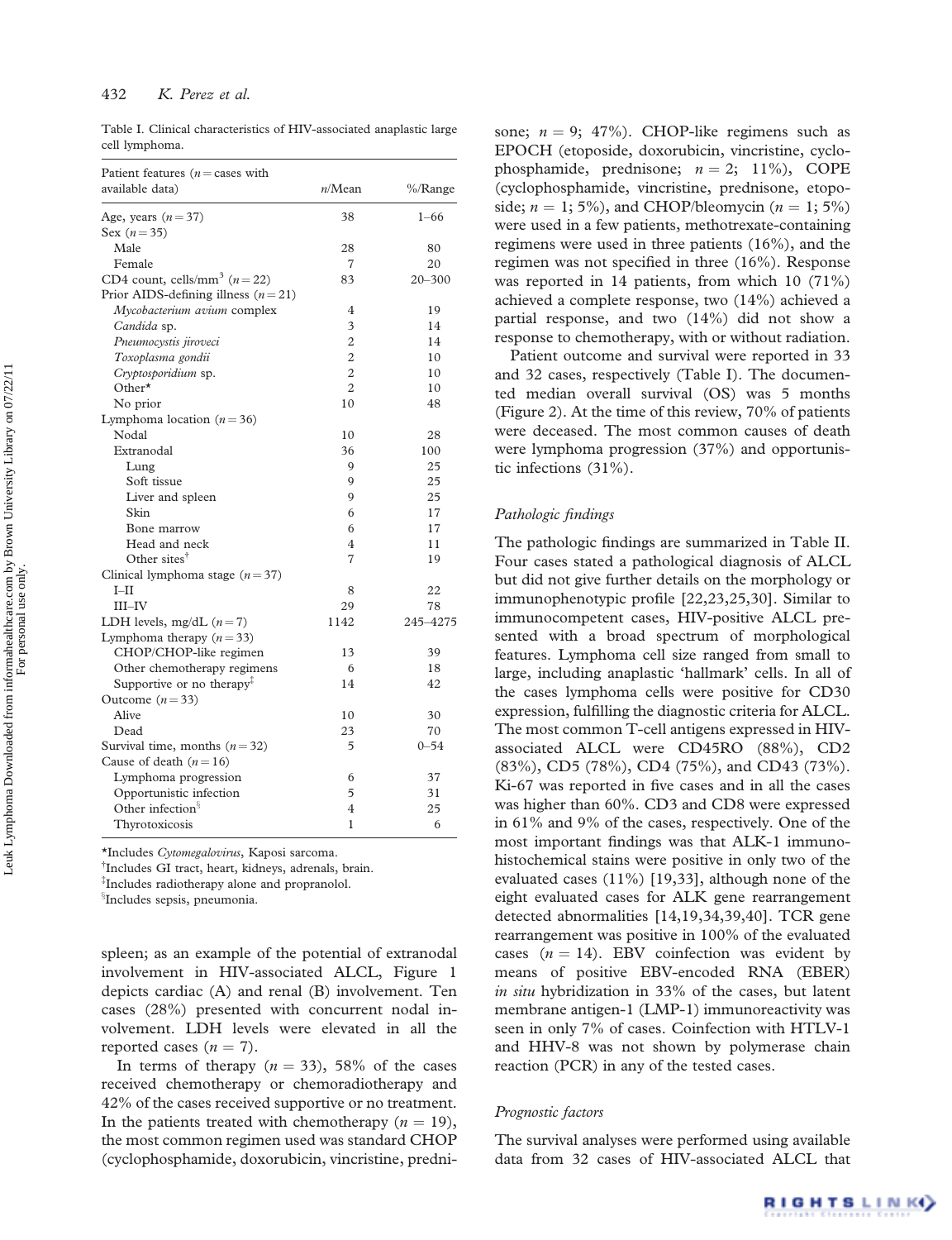Table I. Clinical characteristics of HIV-associated anaplastic large cell lymphoma.

| Patient features ( $n =$ cases with                       |                |            |
|-----------------------------------------------------------|----------------|------------|
| available data)                                           | n/Mean         | %/Range    |
| Age, years $(n=37)$                                       | 38             | $1 - 66$   |
| Sex $(n = 35)$                                            |                |            |
| Male                                                      | 28             | 80         |
| Female                                                    | $\overline{7}$ | 20         |
| CD4 count, cells/mm <sup>3</sup> ( $n = 22$ )             | 83             | $20 - 300$ |
| Prior AIDS-defining illness $(n=21)$                      |                |            |
| Mycobacterium avium complex                               | 4              | 19         |
| Candida sp.                                               | 3              | 14         |
| Pneumocystis jiroveci                                     | $\overline{2}$ | 14         |
| Toxoplasma gondii                                         | $\overline{2}$ | 10         |
| Cryptosporidium sp.                                       | $\overline{c}$ | 10         |
| Other $\star$                                             | $\mathfrak{D}$ | 10         |
| No prior                                                  | 10             | 48         |
| Lymphoma location $(n=36)$                                |                |            |
| Nodal                                                     | 10             | 28         |
| Extranodal                                                | 36             | 100        |
| Lung                                                      | 9              | 25         |
| Soft tissue                                               | 9              | 25         |
| Liver and spleen                                          | 9              | 25         |
| Skin                                                      | 6              | 17         |
| Bone marrow                                               | 6              | 17         |
| Head and neck                                             | 4              | 11         |
| Other sites <sup>†</sup>                                  | 7              | 19         |
| Clinical lymphoma stage $(n=37)$                          |                |            |
| $I-II$                                                    | 8              | 22         |
| $III$ -IV                                                 | 29             | 78         |
| LDH levels, mg/dL $(n=7)$                                 | 1142           | 245-4275   |
| Lymphoma therapy $(n=33)$                                 |                |            |
| CHOP/CHOP-like regimen                                    | 13             | 39         |
| Other chemotherapy regimens                               | 6              | 18         |
| Supportive or no therapy <sup><math>\ddagger</math></sup> | 14             | 42         |
| Outcome $(n=33)$                                          |                |            |
| Alive                                                     | 10             | 30         |
| Dead                                                      | 23             | 70         |
| Survival time, months $(n=32)$                            | 5              | $0 - 54$   |
| Cause of death $(n=16)$                                   |                |            |
| Lymphoma progression                                      | 6              | 37         |
| Opportunistic infection                                   | 5              | 31         |
| Other infection <sup>§</sup>                              | $\overline{4}$ | 25         |
| Thyrotoxicosis                                            | 1              | 6          |

\*Includes Cytomegalovirus, Kaposi sarcoma.

<sup>†</sup>Includes GI tract, heart, kidneys, adrenals, brain.

{ Includes radiotherapy alone and propranolol.

<sup>§</sup>Includes sepsis, pneumonia.

spleen; as an example of the potential of extranodal involvement in HIV-associated ALCL, Figure 1 depicts cardiac (A) and renal (B) involvement. Ten cases (28%) presented with concurrent nodal involvement. LDH levels were elevated in all the reported cases  $(n = 7)$ .

In terms of therapy  $(n = 33)$ , 58% of the cases received chemotherapy or chemoradiotherapy and 42% of the cases received supportive or no treatment. In the patients treated with chemotherapy  $(n = 19)$ , the most common regimen used was standard CHOP (cyclophosphamide, doxorubicin, vincristine, prednisone;  $n = 9$ ; 47%). CHOP-like regimens such as EPOCH (etoposide, doxorubicin, vincristine, cyclophosphamide, prednisone;  $n = 2$ ; 11%), COPE (cyclophosphamide, vincristine, prednisone, etoposide;  $n = 1$ ; 5%), and CHOP/bleomycin ( $n = 1$ ; 5%) were used in a few patients, methotrexate-containing regimens were used in three patients (16%), and the regimen was not specified in three (16%). Response was reported in 14 patients, from which 10 (71%) achieved a complete response, two (14%) achieved a partial response, and two (14%) did not show a response to chemotherapy, with or without radiation.

Patient outcome and survival were reported in 33 and 32 cases, respectively (Table I). The documented median overall survival (OS) was 5 months (Figure 2). At the time of this review, 70% of patients were deceased. The most common causes of death were lymphoma progression (37%) and opportunistic infections (31%).

### Pathologic findings

The pathologic findings are summarized in Table II. Four cases stated a pathological diagnosis of ALCL but did not give further details on the morphology or immunophenotypic profile [22,23,25,30]. Similar to immunocompetent cases, HIV-positive ALCL presented with a broad spectrum of morphological features. Lymphoma cell size ranged from small to large, including anaplastic 'hallmark' cells. In all of the cases lymphoma cells were positive for CD30 expression, fulfilling the diagnostic criteria for ALCL. The most common T-cell antigens expressed in HIVassociated ALCL were CD45RO (88%), CD2 (83%), CD5 (78%), CD4 (75%), and CD43 (73%). Ki-67 was reported in five cases and in all the cases was higher than 60%. CD3 and CD8 were expressed in 61% and 9% of the cases, respectively. One of the most important findings was that ALK-1 immunohistochemical stains were positive in only two of the evaluated cases (11%) [19,33], although none of the eight evaluated cases for ALK gene rearrangement detected abnormalities [14,19,34,39,40]. TCR gene rearrangement was positive in 100% of the evaluated cases  $(n = 14)$ . EBV coinfection was evident by means of positive EBV-encoded RNA (EBER) in situ hybridization in 33% of the cases, but latent membrane antigen-1 (LMP-1) immunoreactivity was seen in only 7% of cases. Coinfection with HTLV-1 and HHV-8 was not shown by polymerase chain reaction (PCR) in any of the tested cases.

#### Prognostic factors

The survival analyses were performed using available data from 32 cases of HIV-associated ALCL that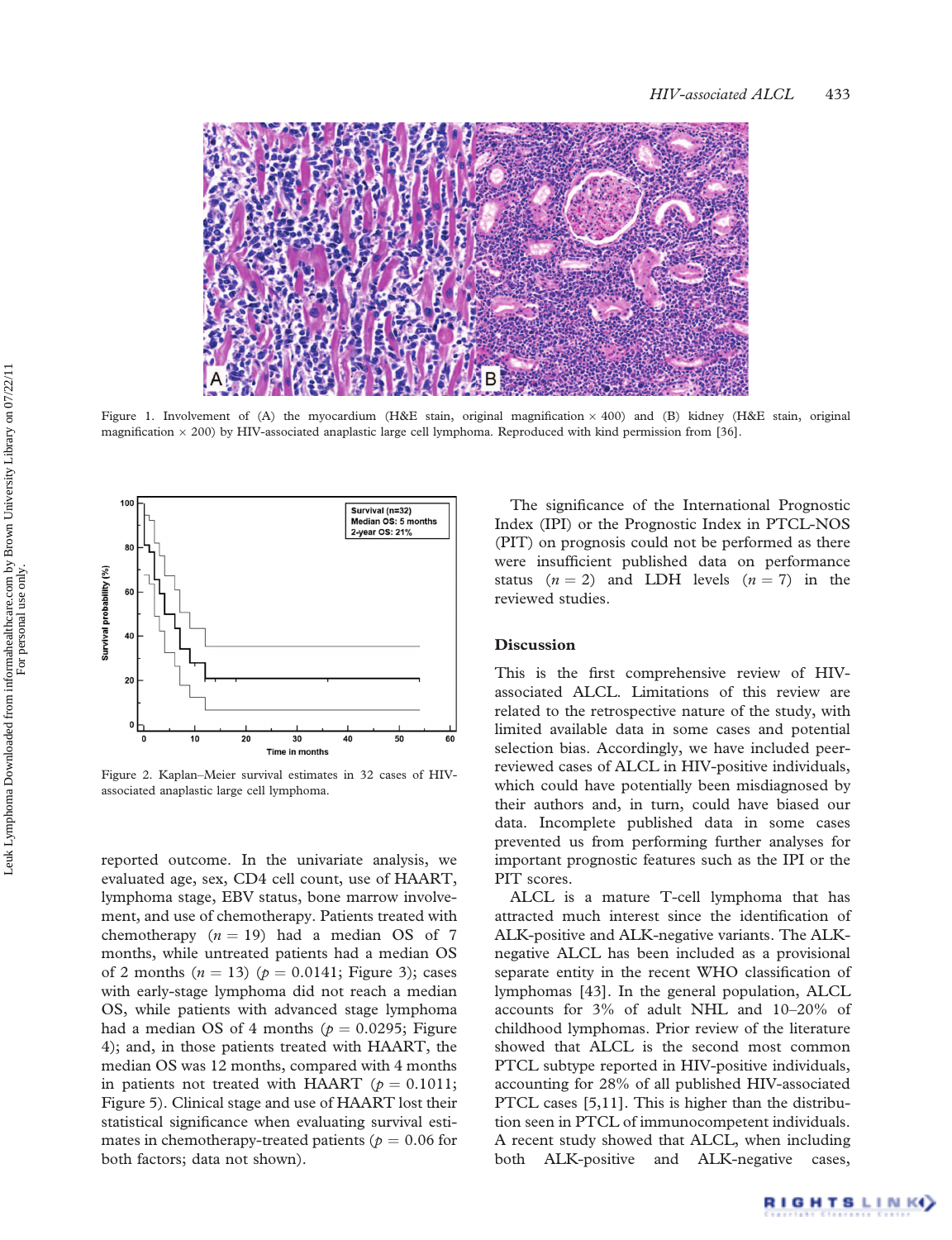

Figure 1. Involvement of (A) the myocardium (H&E stain, original magnification  $\times$  400) and (B) kidney (H&E stain, original magnification  $\times$  200) by HIV-associated anaplastic large cell lymphoma. Reproduced with kind permission from [36].



Figure 2. Kaplan–Meier survival estimates in 32 cases of HIVassociated anaplastic large cell lymphoma.

reported outcome. In the univariate analysis, we evaluated age, sex, CD4 cell count, use of HAART, lymphoma stage, EBV status, bone marrow involvement, and use of chemotherapy. Patients treated with chemotherapy  $(n = 19)$  had a median OS of 7 months, while untreated patients had a median OS of 2 months  $(n = 13)$   $(p = 0.0141;$  Figure 3); cases with early-stage lymphoma did not reach a median OS, while patients with advanced stage lymphoma had a median OS of 4 months ( $p = 0.0295$ ; Figure 4); and, in those patients treated with HAART, the median OS was 12 months, compared with 4 months in patients not treated with HAART ( $p = 0.1011$ ; Figure 5). Clinical stage and use of HAART lost their statistical significance when evaluating survival estimates in chemotherapy-treated patients ( $p = 0.06$  for both factors; data not shown).

The significance of the International Prognostic Index (IPI) or the Prognostic Index in PTCL-NOS (PIT) on prognosis could not be performed as there were insufficient published data on performance status  $(n = 2)$  and LDH levels  $(n = 7)$  in the reviewed studies.

### **Discussion**

This is the first comprehensive review of HIVassociated ALCL. Limitations of this review are related to the retrospective nature of the study, with limited available data in some cases and potential selection bias. Accordingly, we have included peerreviewed cases of ALCL in HIV-positive individuals, which could have potentially been misdiagnosed by their authors and, in turn, could have biased our data. Incomplete published data in some cases prevented us from performing further analyses for important prognostic features such as the IPI or the PIT scores.

ALCL is a mature T-cell lymphoma that has attracted much interest since the identification of ALK-positive and ALK-negative variants. The ALKnegative ALCL has been included as a provisional separate entity in the recent WHO classification of lymphomas [43]. In the general population, ALCL accounts for 3% of adult NHL and 10–20% of childhood lymphomas. Prior review of the literature showed that ALCL is the second most common PTCL subtype reported in HIV-positive individuals, accounting for 28% of all published HIV-associated PTCL cases [5,11]. This is higher than the distribution seen in PTCL of immunocompetent individuals. A recent study showed that ALCL, when including both ALK-positive and ALK-negative cases,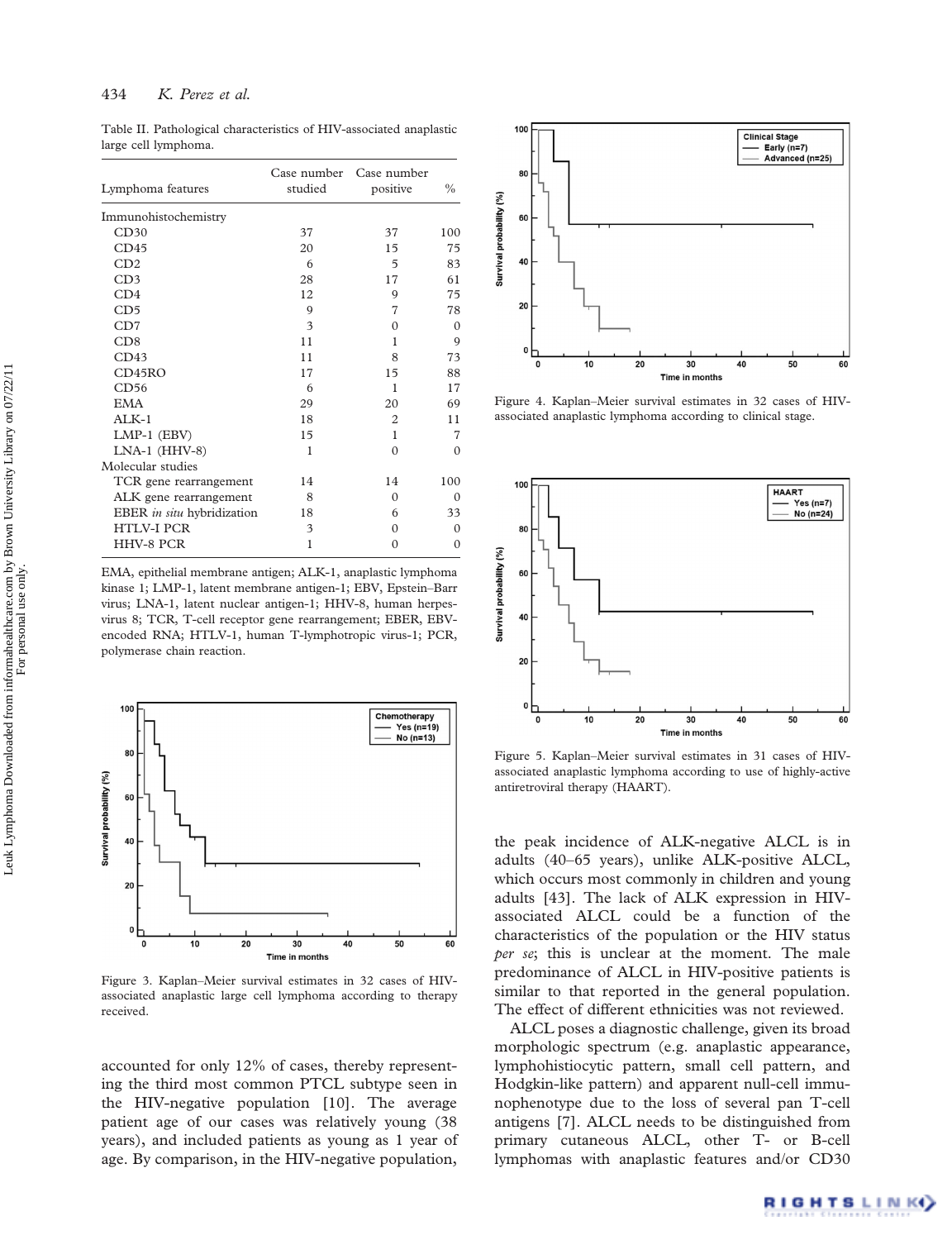Table II. Pathological characteristics of HIV-associated anaplastic large cell lymphoma.

| Lymphoma features          | Case number<br>studied | Case number<br>positive | $\%$     |
|----------------------------|------------------------|-------------------------|----------|
| Immunohistochemistry       |                        |                         |          |
| CD30                       | 37                     | 37                      | 100      |
| CD45                       | 20                     | 15                      | 75       |
| CD2                        | 6                      | 5                       | 83       |
| CD <sub>3</sub>            | 28                     | 17                      | 61       |
| CD4                        | 12                     | 9                       | 75       |
| CD <sub>5</sub>            | 9                      | 7                       | 78       |
| CD7                        | $\mathbf{3}$           | $\Omega$                | $\Omega$ |
| CD8                        | 11                     | 1                       | 9        |
| CD43                       | 11                     | 8                       | 73       |
| CD45RO                     | 17                     | 15                      | 88       |
| CD56                       | 6                      | 1                       | 17       |
| <b>EMA</b>                 | 29                     | 20                      | 69       |
| $AI.K-1$                   | 18                     | $\overline{c}$          | 11       |
| LMP-1 (EBV)                | 15                     | 1                       | 7        |
| $LNA-1$ ( $HHV-8$ )        | 1                      | $\Omega$                | $\Omega$ |
| Molecular studies          |                        |                         |          |
| TCR gene rearrangement     | 14                     | 14                      | 100      |
| ALK gene rearrangement     | 8                      | $\Omega$                | $\Omega$ |
| EBER in situ hybridization | 18                     | 6                       | 33       |
| <b>HTLV-I PCR</b>          | 3                      | $\Omega$                | $\Omega$ |
| <b>HHV-8 PCR</b>           | 1                      | $\Omega$                | $\Omega$ |

EMA, epithelial membrane antigen; ALK-1, anaplastic lymphoma kinase 1; LMP-1, latent membrane antigen-1; EBV, Epstein–Barr virus; LNA-1, latent nuclear antigen-1; HHV-8, human herpesvirus 8; TCR, T-cell receptor gene rearrangement; EBER, EBVencoded RNA; HTLV-1, human T-lymphotropic virus-1; PCR, polymerase chain reaction.



Figure 3. Kaplan–Meier survival estimates in 32 cases of HIVassociated anaplastic large cell lymphoma according to therapy received.

accounted for only 12% of cases, thereby representing the third most common PTCL subtype seen in the HIV-negative population [10]. The average patient age of our cases was relatively young (38 years), and included patients as young as 1 year of age. By comparison, in the HIV-negative population,



Figure 4. Kaplan–Meier survival estimates in 32 cases of HIVassociated anaplastic lymphoma according to clinical stage.



Figure 5. Kaplan–Meier survival estimates in 31 cases of HIVassociated anaplastic lymphoma according to use of highly-active antiretroviral therapy (HAART).

the peak incidence of ALK-negative ALCL is in adults (40–65 years), unlike ALK-positive ALCL, which occurs most commonly in children and young adults [43]. The lack of ALK expression in HIVassociated ALCL could be a function of the characteristics of the population or the HIV status per se; this is unclear at the moment. The male predominance of ALCL in HIV-positive patients is similar to that reported in the general population. The effect of different ethnicities was not reviewed.

ALCL poses a diagnostic challenge, given its broad morphologic spectrum (e.g. anaplastic appearance, lymphohistiocytic pattern, small cell pattern, and Hodgkin-like pattern) and apparent null-cell immunophenotype due to the loss of several pan T-cell antigens [7]. ALCL needs to be distinguished from primary cutaneous ALCL, other T- or B-cell lymphomas with anaplastic features and/or CD30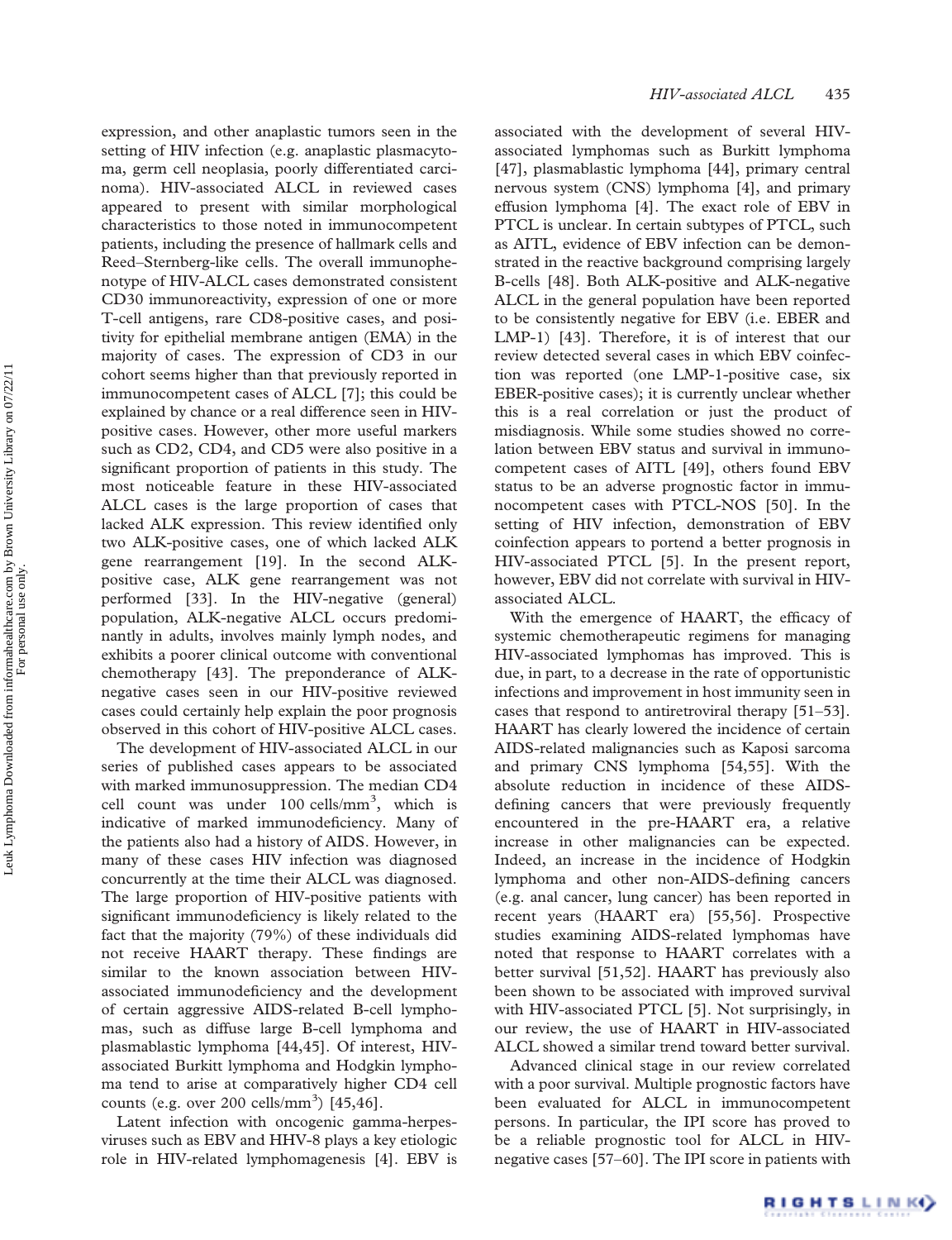expression, and other anaplastic tumors seen in the setting of HIV infection (e.g. anaplastic plasmacytoma, germ cell neoplasia, poorly differentiated carcinoma). HIV-associated ALCL in reviewed cases appeared to present with similar morphological characteristics to those noted in immunocompetent patients, including the presence of hallmark cells and Reed–Sternberg-like cells. The overall immunophenotype of HIV-ALCL cases demonstrated consistent CD30 immunoreactivity, expression of one or more T-cell antigens, rare CD8-positive cases, and positivity for epithelial membrane antigen (EMA) in the majority of cases. The expression of CD3 in our cohort seems higher than that previously reported in immunocompetent cases of ALCL [7]; this could be explained by chance or a real difference seen in HIVpositive cases. However, other more useful markers such as CD2, CD4, and CD5 were also positive in a significant proportion of patients in this study. The most noticeable feature in these HIV-associated ALCL cases is the large proportion of cases that lacked ALK expression. This review identified only two ALK-positive cases, one of which lacked ALK gene rearrangement [19]. In the second ALKpositive case, ALK gene rearrangement was not performed [33]. In the HIV-negative (general) population, ALK-negative ALCL occurs predominantly in adults, involves mainly lymph nodes, and exhibits a poorer clinical outcome with conventional chemotherapy [43]. The preponderance of ALKnegative cases seen in our HIV-positive reviewed cases could certainly help explain the poor prognosis observed in this cohort of HIV-positive ALCL cases.

The development of HIV-associated ALCL in our series of published cases appears to be associated with marked immunosuppression. The median CD4 cell count was under 100 cells/mm<sup>3</sup>, which is indicative of marked immunodeficiency. Many of the patients also had a history of AIDS. However, in many of these cases HIV infection was diagnosed concurrently at the time their ALCL was diagnosed. The large proportion of HIV-positive patients with significant immunodeficiency is likely related to the fact that the majority (79%) of these individuals did not receive HAART therapy. These findings are similar to the known association between HIVassociated immunodeficiency and the development of certain aggressive AIDS-related B-cell lymphomas, such as diffuse large B-cell lymphoma and plasmablastic lymphoma [44,45]. Of interest, HIVassociated Burkitt lymphoma and Hodgkin lymphoma tend to arise at comparatively higher CD4 cell counts (e.g. over 200 cells/mm<sup>3</sup>)  $[45,46]$ .

Latent infection with oncogenic gamma-herpesviruses such as EBV and HHV-8 plays a key etiologic role in HIV-related lymphomagenesis [4]. EBV is associated with the development of several HIVassociated lymphomas such as Burkitt lymphoma [47], plasmablastic lymphoma [44], primary central nervous system (CNS) lymphoma [4], and primary effusion lymphoma [4]. The exact role of EBV in PTCL is unclear. In certain subtypes of PTCL, such as AITL, evidence of EBV infection can be demonstrated in the reactive background comprising largely B-cells [48]. Both ALK-positive and ALK-negative ALCL in the general population have been reported to be consistently negative for EBV (i.e. EBER and LMP-1) [43]. Therefore, it is of interest that our review detected several cases in which EBV coinfection was reported (one LMP-1-positive case, six EBER-positive cases); it is currently unclear whether this is a real correlation or just the product of misdiagnosis. While some studies showed no correlation between EBV status and survival in immunocompetent cases of AITL [49], others found EBV status to be an adverse prognostic factor in immunocompetent cases with PTCL-NOS [50]. In the setting of HIV infection, demonstration of EBV coinfection appears to portend a better prognosis in HIV-associated PTCL [5]. In the present report, however, EBV did not correlate with survival in HIVassociated ALCL.

With the emergence of HAART, the efficacy of systemic chemotherapeutic regimens for managing HIV-associated lymphomas has improved. This is due, in part, to a decrease in the rate of opportunistic infections and improvement in host immunity seen in cases that respond to antiretroviral therapy [51–53]. HAART has clearly lowered the incidence of certain AIDS-related malignancies such as Kaposi sarcoma and primary CNS lymphoma [54,55]. With the absolute reduction in incidence of these AIDSdefining cancers that were previously frequently encountered in the pre-HAART era, a relative increase in other malignancies can be expected. Indeed, an increase in the incidence of Hodgkin lymphoma and other non-AIDS-defining cancers (e.g. anal cancer, lung cancer) has been reported in recent years (HAART era) [55,56]. Prospective studies examining AIDS-related lymphomas have noted that response to HAART correlates with a better survival [51,52]. HAART has previously also been shown to be associated with improved survival with HIV-associated PTCL [5]. Not surprisingly, in our review, the use of HAART in HIV-associated ALCL showed a similar trend toward better survival.

Advanced clinical stage in our review correlated with a poor survival. Multiple prognostic factors have been evaluated for ALCL in immunocompetent persons. In particular, the IPI score has proved to be a reliable prognostic tool for ALCL in HIVnegative cases [57–60]. The IPI score in patients with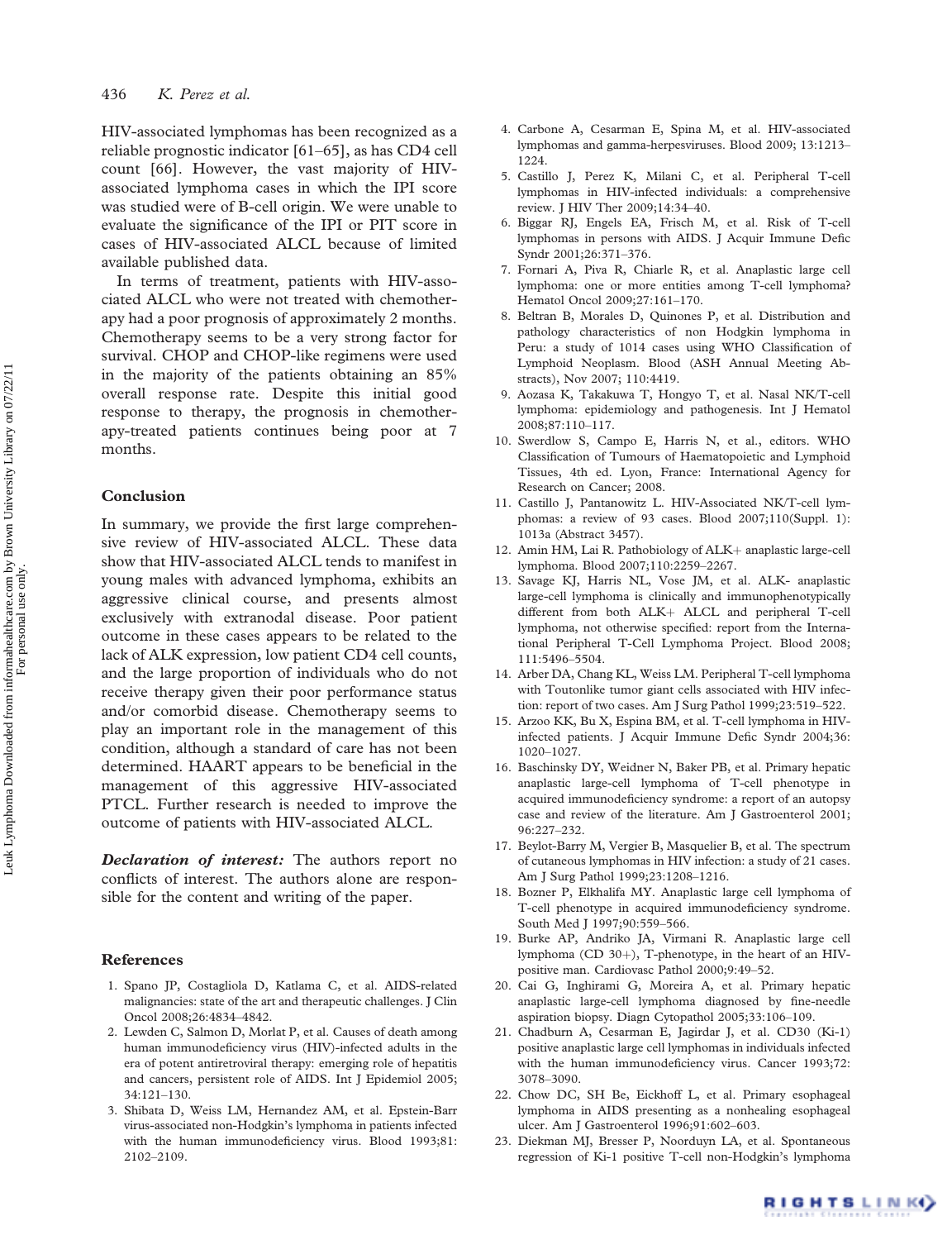HIV-associated lymphomas has been recognized as a reliable prognostic indicator [61–65], as has CD4 cell count [66]. However, the vast majority of HIVassociated lymphoma cases in which the IPI score was studied were of B-cell origin. We were unable to evaluate the significance of the IPI or PIT score in cases of HIV-associated ALCL because of limited available published data.

In terms of treatment, patients with HIV-associated ALCL who were not treated with chemotherapy had a poor prognosis of approximately 2 months. Chemotherapy seems to be a very strong factor for survival. CHOP and CHOP-like regimens were used in the majority of the patients obtaining an 85% overall response rate. Despite this initial good response to therapy, the prognosis in chemotherapy-treated patients continues being poor at 7 months.

#### Conclusion

In summary, we provide the first large comprehensive review of HIV-associated ALCL. These data show that HIV-associated ALCL tends to manifest in young males with advanced lymphoma, exhibits an aggressive clinical course, and presents almost exclusively with extranodal disease. Poor patient outcome in these cases appears to be related to the lack of ALK expression, low patient CD4 cell counts, and the large proportion of individuals who do not receive therapy given their poor performance status and/or comorbid disease. Chemotherapy seems to play an important role in the management of this condition, although a standard of care has not been determined. HAART appears to be beneficial in the management of this aggressive HIV-associated PTCL. Further research is needed to improve the outcome of patients with HIV-associated ALCL.

Declaration of interest: The authors report no conflicts of interest. The authors alone are responsible for the content and writing of the paper.

#### References

- 1. Spano JP, Costagliola D, Katlama C, et al. AIDS-related malignancies: state of the art and therapeutic challenges. J Clin Oncol 2008;26:4834–4842.
- 2. Lewden C, Salmon D, Morlat P, et al. Causes of death among human immunodeficiency virus (HIV)-infected adults in the era of potent antiretroviral therapy: emerging role of hepatitis and cancers, persistent role of AIDS. Int J Epidemiol 2005; 34:121–130.
- 3. Shibata D, Weiss LM, Hernandez AM, et al. Epstein-Barr virus-associated non-Hodgkin's lymphoma in patients infected with the human immunodeficiency virus. Blood 1993;81: 2102–2109.
- 4. Carbone A, Cesarman E, Spina M, et al. HIV-associated lymphomas and gamma-herpesviruses. Blood 2009; 13:1213– 1224.
- 5. Castillo J, Perez K, Milani C, et al. Peripheral T-cell lymphomas in HIV-infected individuals: a comprehensive review. J HIV Ther 2009;14:34–40.
- 6. Biggar RJ, Engels EA, Frisch M, et al. Risk of T-cell lymphomas in persons with AIDS. J Acquir Immune Defic Syndr 2001;26:371–376.
- 7. Fornari A, Piva R, Chiarle R, et al. Anaplastic large cell lymphoma: one or more entities among T-cell lymphoma? Hematol Oncol 2009;27:161–170.
- 8. Beltran B, Morales D, Quinones P, et al. Distribution and pathology characteristics of non Hodgkin lymphoma in Peru: a study of 1014 cases using WHO Classification of Lymphoid Neoplasm. Blood (ASH Annual Meeting Abstracts), Nov 2007; 110:4419.
- 9. Aozasa K, Takakuwa T, Hongyo T, et al. Nasal NK/T-cell lymphoma: epidemiology and pathogenesis. Int J Hematol 2008;87:110–117.
- 10. Swerdlow S, Campo E, Harris N, et al., editors. WHO Classification of Tumours of Haematopoietic and Lymphoid Tissues, 4th ed. Lyon, France: International Agency for Research on Cancer; 2008.
- 11. Castillo J, Pantanowitz L. HIV-Associated NK/T-cell lymphomas: a review of 93 cases. Blood 2007;110(Suppl. 1): 1013a (Abstract 3457).
- 12. Amin HM, Lai R. Pathobiology of ALK+ anaplastic large-cell lymphoma. Blood 2007;110:2259–2267.
- 13. Savage KJ, Harris NL, Vose JM, et al. ALK- anaplastic large-cell lymphoma is clinically and immunophenotypically different from both ALK+ ALCL and peripheral T-cell lymphoma, not otherwise specified: report from the International Peripheral T-Cell Lymphoma Project. Blood 2008; 111:5496–5504.
- 14. Arber DA, Chang KL, Weiss LM. Peripheral T-cell lymphoma with Toutonlike tumor giant cells associated with HIV infection: report of two cases. Am J Surg Pathol 1999;23:519–522.
- 15. Arzoo KK, Bu X, Espina BM, et al. T-cell lymphoma in HIVinfected patients. J Acquir Immune Defic Syndr 2004;36: 1020–1027.
- 16. Baschinsky DY, Weidner N, Baker PB, et al. Primary hepatic anaplastic large-cell lymphoma of T-cell phenotype in acquired immunodeficiency syndrome: a report of an autopsy case and review of the literature. Am J Gastroenterol 2001; 96:227–232.
- 17. Beylot-Barry M, Vergier B, Masquelier B, et al. The spectrum of cutaneous lymphomas in HIV infection: a study of 21 cases. Am J Surg Pathol 1999;23:1208–1216.
- 18. Bozner P, Elkhalifa MY. Anaplastic large cell lymphoma of T-cell phenotype in acquired immunodeficiency syndrome. South Med J 1997;90:559–566.
- 19. Burke AP, Andriko JA, Virmani R. Anaplastic large cell lymphoma (CD  $30+$ ), T-phenotype, in the heart of an HIVpositive man. Cardiovasc Pathol 2000;9:49–52.
- 20. Cai G, Inghirami G, Moreira A, et al. Primary hepatic anaplastic large-cell lymphoma diagnosed by fine-needle aspiration biopsy. Diagn Cytopathol 2005;33:106–109.
- 21. Chadburn A, Cesarman E, Jagirdar J, et al. CD30 (Ki-1) positive anaplastic large cell lymphomas in individuals infected with the human immunodeficiency virus. Cancer 1993;72: 3078–3090.
- 22. Chow DC, SH Be, Eickhoff L, et al. Primary esophageal lymphoma in AIDS presenting as a nonhealing esophageal ulcer. Am J Gastroenterol 1996;91:602–603.
- 23. Diekman MJ, Bresser P, Noorduyn LA, et al. Spontaneous regression of Ki-1 positive T-cell non-Hodgkin's lymphoma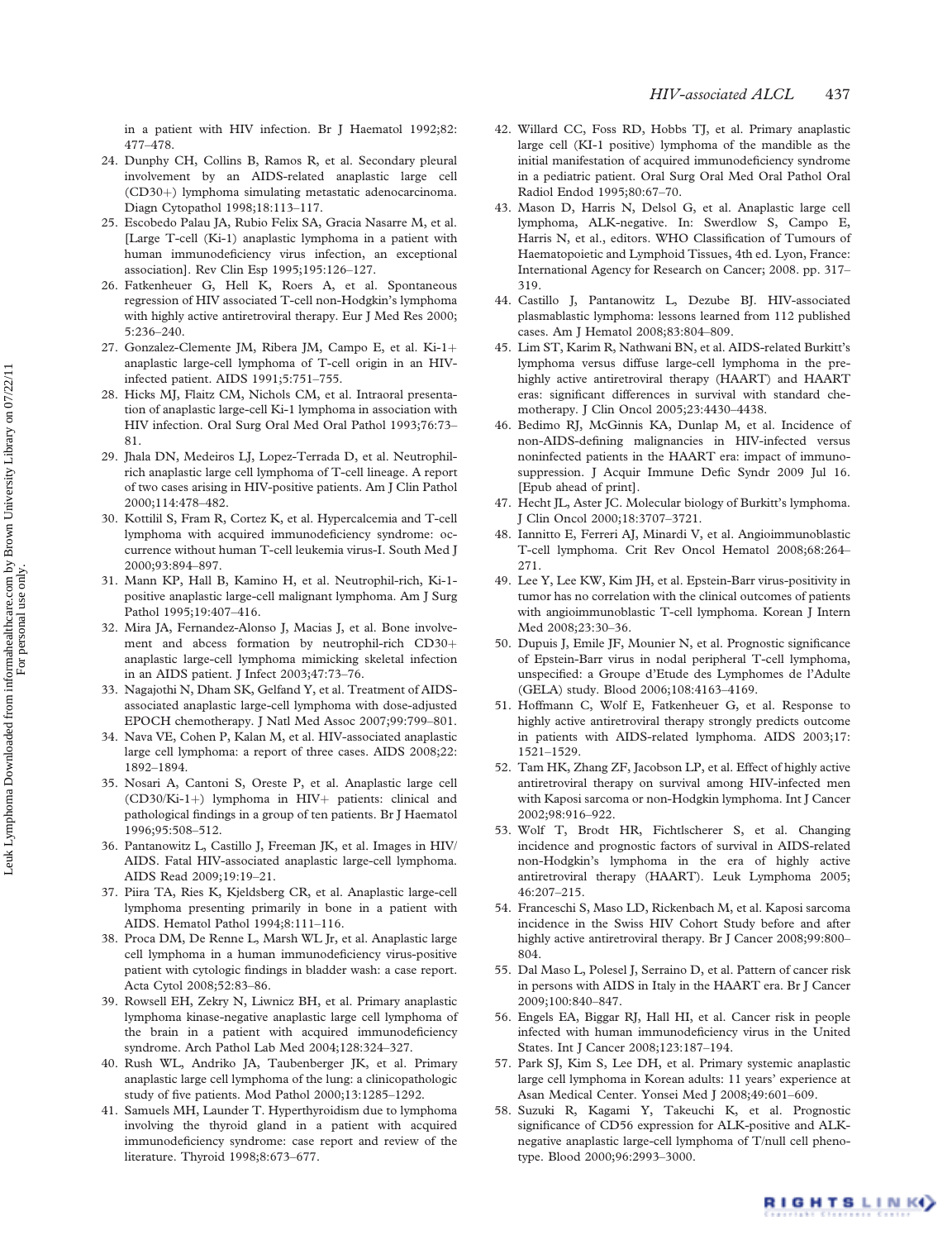in a patient with HIV infection. Br J Haematol 1992;82: 477–478.

- 24. Dunphy CH, Collins B, Ramos R, et al. Secondary pleural involvement by an AIDS-related anaplastic large cell (CD30+) lymphoma simulating metastatic adenocarcinoma. Diagn Cytopathol 1998;18:113–117.
- 25. Escobedo Palau JA, Rubio Felix SA, Gracia Nasarre M, et al. [Large T-cell (Ki-1) anaplastic lymphoma in a patient with human immunodeficiency virus infection, an exceptional association]. Rev Clin Esp 1995;195:126–127.
- 26. Fatkenheuer G, Hell K, Roers A, et al. Spontaneous regression of HIV associated T-cell non-Hodgkin's lymphoma with highly active antiretroviral therapy. Eur J Med Res 2000; 5:236–240.
- 27. Gonzalez-Clemente JM, Ribera JM, Campo E, et al.  $Ki-1+$ anaplastic large-cell lymphoma of T-cell origin in an HIVinfected patient. AIDS 1991;5:751–755.
- 28. Hicks MJ, Flaitz CM, Nichols CM, et al. Intraoral presentation of anaplastic large-cell Ki-1 lymphoma in association with HIV infection. Oral Surg Oral Med Oral Pathol 1993;76:73– 81.
- 29. Jhala DN, Medeiros LJ, Lopez-Terrada D, et al. Neutrophilrich anaplastic large cell lymphoma of T-cell lineage. A report of two cases arising in HIV-positive patients. Am J Clin Pathol 2000;114:478–482.
- 30. Kottilil S, Fram R, Cortez K, et al. Hypercalcemia and T-cell lymphoma with acquired immunodeficiency syndrome: occurrence without human T-cell leukemia virus-I. South Med J 2000;93:894–897.
- 31. Mann KP, Hall B, Kamino H, et al. Neutrophil-rich, Ki-1 positive anaplastic large-cell malignant lymphoma. Am J Surg Pathol 1995;19:407–416.
- 32. Mira JA, Fernandez-Alonso J, Macias J, et al. Bone involvement and abcess formation by neutrophil-rich CD30+ anaplastic large-cell lymphoma mimicking skeletal infection in an AIDS patient. J Infect 2003;47:73–76.
- 33. Nagajothi N, Dham SK, Gelfand Y, et al. Treatment of AIDSassociated anaplastic large-cell lymphoma with dose-adjusted EPOCH chemotherapy. J Natl Med Assoc 2007;99:799–801.
- 34. Nava VE, Cohen P, Kalan M, et al. HIV-associated anaplastic large cell lymphoma: a report of three cases. AIDS 2008;22: 1892–1894.
- 35. Nosari A, Cantoni S, Oreste P, et al. Anaplastic large cell  $(CD30/Ki-1+)$  lymphoma in  $HIV+$  patients: clinical and pathological findings in a group of ten patients. Br J Haematol 1996;95:508–512.
- 36. Pantanowitz L, Castillo J, Freeman JK, et al. Images in HIV/ AIDS. Fatal HIV-associated anaplastic large-cell lymphoma. AIDS Read 2009;19:19–21.
- 37. Piira TA, Ries K, Kjeldsberg CR, et al. Anaplastic large-cell lymphoma presenting primarily in bone in a patient with AIDS. Hematol Pathol 1994;8:111–116.
- 38. Proca DM, De Renne L, Marsh WL Jr, et al. Anaplastic large cell lymphoma in a human immunodeficiency virus-positive patient with cytologic findings in bladder wash: a case report. Acta Cytol 2008;52:83–86.
- 39. Rowsell EH, Zekry N, Liwnicz BH, et al. Primary anaplastic lymphoma kinase-negative anaplastic large cell lymphoma of the brain in a patient with acquired immunodeficiency syndrome. Arch Pathol Lab Med 2004;128:324–327.
- 40. Rush WL, Andriko JA, Taubenberger JK, et al. Primary anaplastic large cell lymphoma of the lung: a clinicopathologic study of five patients. Mod Pathol 2000;13:1285–1292.
- 41. Samuels MH, Launder T. Hyperthyroidism due to lymphoma involving the thyroid gland in a patient with acquired immunodeficiency syndrome: case report and review of the literature. Thyroid 1998;8:673–677.
- 42. Willard CC, Foss RD, Hobbs TJ, et al. Primary anaplastic large cell (KI-1 positive) lymphoma of the mandible as the initial manifestation of acquired immunodeficiency syndrome in a pediatric patient. Oral Surg Oral Med Oral Pathol Oral Radiol Endod 1995;80:67–70.
- 43. Mason D, Harris N, Delsol G, et al. Anaplastic large cell lymphoma, ALK-negative. In: Swerdlow S, Campo E, Harris N, et al., editors. WHO Classification of Tumours of Haematopoietic and Lymphoid Tissues, 4th ed. Lyon, France: International Agency for Research on Cancer; 2008. pp. 317– 319.
- 44. Castillo J, Pantanowitz L, Dezube BJ. HIV-associated plasmablastic lymphoma: lessons learned from 112 published cases. Am J Hematol 2008;83:804–809.
- 45. Lim ST, Karim R, Nathwani BN, et al. AIDS-related Burkitt's lymphoma versus diffuse large-cell lymphoma in the prehighly active antiretroviral therapy (HAART) and HAART eras: significant differences in survival with standard chemotherapy. J Clin Oncol 2005;23:4430–4438.
- 46. Bedimo RJ, McGinnis KA, Dunlap M, et al. Incidence of non-AIDS-defining malignancies in HIV-infected versus noninfected patients in the HAART era: impact of immunosuppression. J Acquir Immune Defic Syndr 2009 Jul 16. [Epub ahead of print].
- 47. Hecht JL, Aster JC. Molecular biology of Burkitt's lymphoma. J Clin Oncol 2000;18:3707–3721.
- 48. Iannitto E, Ferreri AJ, Minardi V, et al. Angioimmunoblastic T-cell lymphoma. Crit Rev Oncol Hematol 2008;68:264– 271.
- 49. Lee Y, Lee KW, Kim JH, et al. Epstein-Barr virus-positivity in tumor has no correlation with the clinical outcomes of patients with angioimmunoblastic T-cell lymphoma. Korean J Intern Med 2008;23:30–36.
- 50. Dupuis J, Emile JF, Mounier N, et al. Prognostic significance of Epstein-Barr virus in nodal peripheral T-cell lymphoma, unspecified: a Groupe d'Etude des Lymphomes de l'Adulte (GELA) study. Blood 2006;108:4163–4169.
- 51. Hoffmann C, Wolf E, Fatkenheuer G, et al. Response to highly active antiretroviral therapy strongly predicts outcome in patients with AIDS-related lymphoma. AIDS 2003;17: 1521–1529.
- 52. Tam HK, Zhang ZF, Jacobson LP, et al. Effect of highly active antiretroviral therapy on survival among HIV-infected men with Kaposi sarcoma or non-Hodgkin lymphoma. Int J Cancer 2002;98:916–922.
- 53. Wolf T, Brodt HR, Fichtlscherer S, et al. Changing incidence and prognostic factors of survival in AIDS-related non-Hodgkin's lymphoma in the era of highly active antiretroviral therapy (HAART). Leuk Lymphoma 2005; 46:207–215.
- 54. Franceschi S, Maso LD, Rickenbach M, et al. Kaposi sarcoma incidence in the Swiss HIV Cohort Study before and after highly active antiretroviral therapy. Br J Cancer 2008;99:800– 804.
- 55. Dal Maso L, Polesel J, Serraino D, et al. Pattern of cancer risk in persons with AIDS in Italy in the HAART era. Br J Cancer 2009;100:840–847.
- 56. Engels EA, Biggar RJ, Hall HI, et al. Cancer risk in people infected with human immunodeficiency virus in the United States. Int J Cancer 2008;123:187–194.
- 57. Park SJ, Kim S, Lee DH, et al. Primary systemic anaplastic large cell lymphoma in Korean adults: 11 years' experience at Asan Medical Center. Yonsei Med J 2008;49:601–609.
- 58. Suzuki R, Kagami Y, Takeuchi K, et al. Prognostic significance of CD56 expression for ALK-positive and ALKnegative anaplastic large-cell lymphoma of T/null cell phenotype. Blood 2000;96:2993–3000.